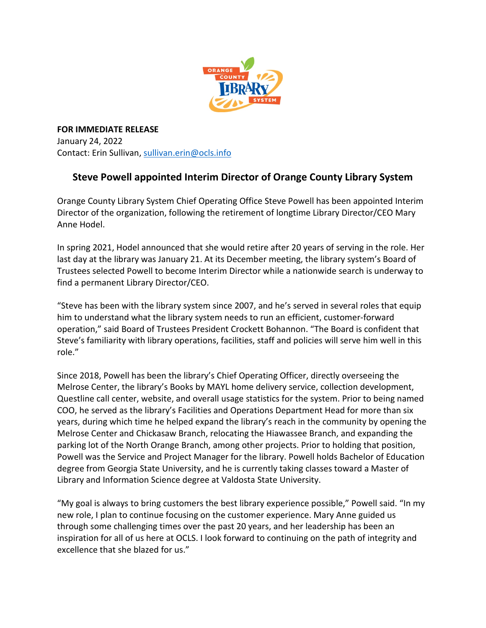

**FOR IMMEDIATE RELEASE** January 24, 2022 Contact: Erin Sullivan, [sullivan.erin@ocls.info](mailto:sullivan.erin@ocls.info)

## **Steve Powell appointed Interim Director of Orange County Library System**

Orange County Library System Chief Operating Office Steve Powell has been appointed Interim Director of the organization, following the retirement of longtime Library Director/CEO Mary Anne Hodel.

In spring 2021, Hodel announced that she would retire after 20 years of serving in the role. Her last day at the library was January 21. At its December meeting, the library system's Board of Trustees selected Powell to become Interim Director while a nationwide search is underway to find a permanent Library Director/CEO.

"Steve has been with the library system since 2007, and he's served in several roles that equip him to understand what the library system needs to run an efficient, customer-forward operation," said Board of Trustees President Crockett Bohannon. "The Board is confident that Steve's familiarity with library operations, facilities, staff and policies will serve him well in this role."

Since 2018, Powell has been the library's Chief Operating Officer, directly overseeing the Melrose Center, the library's Books by MAYL home delivery service, collection development, Questline call center, website, and overall usage statistics for the system. Prior to being named COO, he served as the library's Facilities and Operations Department Head for more than six years, during which time he helped expand the library's reach in the community by opening the Melrose Center and Chickasaw Branch, relocating the Hiawassee Branch, and expanding the parking lot of the North Orange Branch, among other projects. Prior to holding that position, Powell was the Service and Project Manager for the library. Powell holds Bachelor of Education degree from Georgia State University, and he is currently taking classes toward a Master of Library and Information Science degree at Valdosta State University.

"My goal is always to bring customers the best library experience possible," Powell said. "In my new role, I plan to continue focusing on the customer experience. Mary Anne guided us through some challenging times over the past 20 years, and her leadership has been an inspiration for all of us here at OCLS. I look forward to continuing on the path of integrity and excellence that she blazed for us."